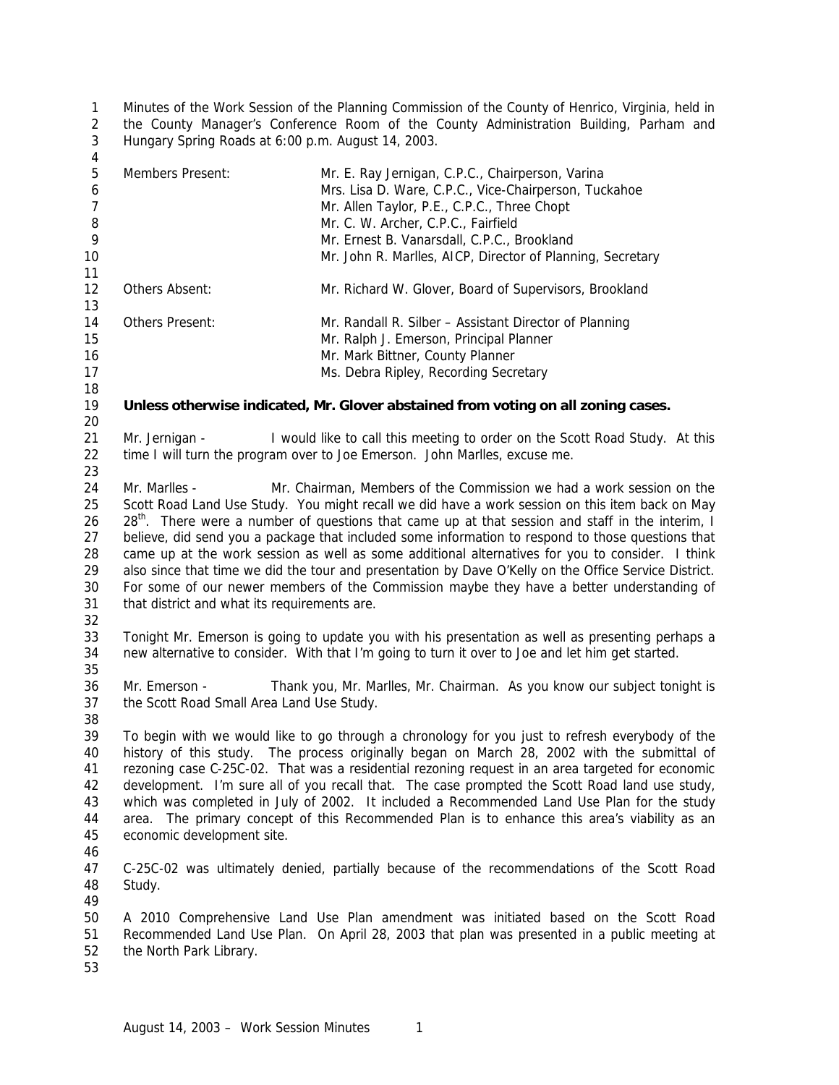Minutes of the Work Session of the Planning Commission of the County of Henrico, Virginia, held in the County Manager's Conference Room of the County Administration Building, Parham and Hungary Spring Roads at 6:00 p.m. August 14, 2003.

| $\overline{4}$             |                                                                                                                                                                                                           |                                                                                                                                                           |  |
|----------------------------|-----------------------------------------------------------------------------------------------------------------------------------------------------------------------------------------------------------|-----------------------------------------------------------------------------------------------------------------------------------------------------------|--|
| 5<br>6<br>$\boldsymbol{7}$ | Members Present:                                                                                                                                                                                          | Mr. E. Ray Jernigan, C.P.C., Chairperson, Varina<br>Mrs. Lisa D. Ware, C.P.C., Vice-Chairperson, Tuckahoe<br>Mr. Allen Taylor, P.E., C.P.C., Three Chopt  |  |
| 8                          |                                                                                                                                                                                                           | Mr. C. W. Archer, C.P.C., Fairfield                                                                                                                       |  |
| 9                          |                                                                                                                                                                                                           | Mr. Ernest B. Vanarsdall, C.P.C., Brookland                                                                                                               |  |
| 10                         |                                                                                                                                                                                                           | Mr. John R. Marlles, AICP, Director of Planning, Secretary                                                                                                |  |
| 11                         |                                                                                                                                                                                                           |                                                                                                                                                           |  |
| 12                         | Others Absent:                                                                                                                                                                                            | Mr. Richard W. Glover, Board of Supervisors, Brookland                                                                                                    |  |
| 13                         |                                                                                                                                                                                                           |                                                                                                                                                           |  |
| 14                         | Others Present:                                                                                                                                                                                           | Mr. Randall R. Silber - Assistant Director of Planning                                                                                                    |  |
| 15                         |                                                                                                                                                                                                           | Mr. Ralph J. Emerson, Principal Planner                                                                                                                   |  |
| 16                         |                                                                                                                                                                                                           | Mr. Mark Bittner, County Planner                                                                                                                          |  |
| 17                         |                                                                                                                                                                                                           | Ms. Debra Ripley, Recording Secretary                                                                                                                     |  |
| 18                         |                                                                                                                                                                                                           |                                                                                                                                                           |  |
| 19                         | Unless otherwise indicated, Mr. Glover abstained from voting on all zoning cases.                                                                                                                         |                                                                                                                                                           |  |
| 20                         |                                                                                                                                                                                                           |                                                                                                                                                           |  |
| 21<br>22                   | Mr. Jernigan -                                                                                                                                                                                            | I would like to call this meeting to order on the Scott Road Study. At this<br>time I will turn the program over to Joe Emerson. John Marlles, excuse me. |  |
| 23                         |                                                                                                                                                                                                           |                                                                                                                                                           |  |
| 24                         | Mr. Marlles -                                                                                                                                                                                             | Mr. Chairman, Members of the Commission we had a work session on the                                                                                      |  |
| 25                         |                                                                                                                                                                                                           | Scott Road Land Use Study. You might recall we did have a work session on this item back on May                                                           |  |
| 26<br>27                   | 28 <sup>th</sup> . There were a number of questions that came up at that session and staff in the interim, I                                                                                              |                                                                                                                                                           |  |
| 28                         | believe, did send you a package that included some information to respond to those questions that                                                                                                         |                                                                                                                                                           |  |
| 29                         | came up at the work session as well as some additional alternatives for you to consider. I think<br>also since that time we did the tour and presentation by Dave O'Kelly on the Office Service District. |                                                                                                                                                           |  |
| 30                         | For some of our newer members of the Commission maybe they have a better understanding of                                                                                                                 |                                                                                                                                                           |  |
| 31                         | that district and what its requirements are.                                                                                                                                                              |                                                                                                                                                           |  |
| 32                         |                                                                                                                                                                                                           |                                                                                                                                                           |  |
| 33                         |                                                                                                                                                                                                           | Tonight Mr. Emerson is going to update you with his presentation as well as presenting perhaps a                                                          |  |
| 34                         |                                                                                                                                                                                                           | new alternative to consider. With that I'm going to turn it over to Joe and let him get started.                                                          |  |
| 35                         |                                                                                                                                                                                                           |                                                                                                                                                           |  |
| 36                         | Mr. Emerson -                                                                                                                                                                                             | Thank you, Mr. Marlles, Mr. Chairman. As you know our subject tonight is                                                                                  |  |
| 37                         | the Scott Road Small Area Land Use Study.                                                                                                                                                                 |                                                                                                                                                           |  |
| 38                         |                                                                                                                                                                                                           |                                                                                                                                                           |  |
| 39                         |                                                                                                                                                                                                           | To begin with we would like to go through a chronology for you just to refresh everybody of the                                                           |  |
| 40                         |                                                                                                                                                                                                           | history of this study. The process originally began on March 28, 2002 with the submittal of                                                               |  |
| 41                         |                                                                                                                                                                                                           | rezoning case C-25C-02. That was a residential rezoning request in an area targeted for economic                                                          |  |
| 42                         |                                                                                                                                                                                                           | development. I'm sure all of you recall that. The case prompted the Scott Road land use study,                                                            |  |
| 43                         |                                                                                                                                                                                                           | which was completed in July of 2002. It included a Recommended Land Use Plan for the study                                                                |  |
| 44                         |                                                                                                                                                                                                           | area. The primary concept of this Recommended Plan is to enhance this area's viability as an                                                              |  |
| 45                         | economic development site.                                                                                                                                                                                |                                                                                                                                                           |  |
| 46                         |                                                                                                                                                                                                           |                                                                                                                                                           |  |
| 47                         |                                                                                                                                                                                                           | C-25C-02 was ultimately denied, partially because of the recommendations of the Scott Road                                                                |  |
| 48                         | Study.                                                                                                                                                                                                    |                                                                                                                                                           |  |
| 49                         |                                                                                                                                                                                                           |                                                                                                                                                           |  |
| 50                         |                                                                                                                                                                                                           | A 2010 Comprehensive Land Use Plan amendment was initiated based on the Scott Road                                                                        |  |
| 51                         |                                                                                                                                                                                                           | Recommended Land Use Plan. On April 28, 2003 that plan was presented in a public meeting at                                                               |  |
| 52                         | the North Park Library.                                                                                                                                                                                   |                                                                                                                                                           |  |
| 53                         |                                                                                                                                                                                                           |                                                                                                                                                           |  |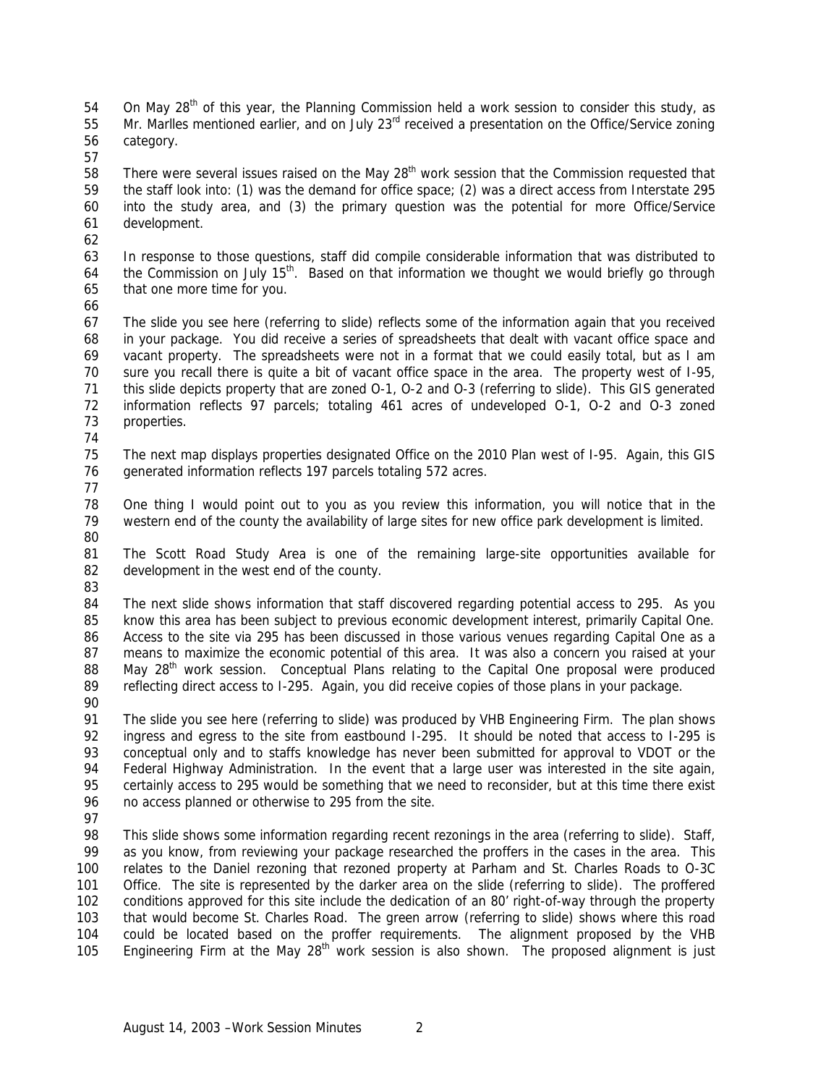54 On May  $28<sup>th</sup>$  of this year, the Planning Commission held a work session to consider this study, as 55 Mr. Marlles mentioned earlier, and on July 23<sup>rd</sup> received a presentation on the Office/Service zoning category.

58 There were several issues raised on the May 28<sup>th</sup> work session that the Commission requested that the staff look into: (1) was the demand for office space; (2) was a direct access from Interstate 295 into the study area, and (3) the primary question was the potential for more Office/Service development.

- In response to those questions, staff did compile considerable information that was distributed to 64 the Commission on July 15<sup>th</sup>. Based on that information we thought we would briefly go through that one more time for you.
- 

 The slide you see here (referring to slide) reflects some of the information again that you received in your package. You did receive a series of spreadsheets that dealt with vacant office space and vacant property. The spreadsheets were not in a format that we could easily total, but as I am sure you recall there is quite a bit of vacant office space in the area. The property west of I-95, this slide depicts property that are zoned O-1, O-2 and O-3 (referring to slide). This GIS generated information reflects 97 parcels; totaling 461 acres of undeveloped O-1, O-2 and O-3 zoned properties.

- 
- The next map displays properties designated Office on the 2010 Plan west of I-95. Again, this GIS generated information reflects 197 parcels totaling 572 acres.
- 
- One thing I would point out to you as you review this information, you will notice that in the western end of the county the availability of large sites for new office park development is limited.
- The Scott Road Study Area is one of the remaining large-site opportunities available for development in the west end of the county.
- 

 The next slide shows information that staff discovered regarding potential access to 295. As you know this area has been subject to previous economic development interest, primarily Capital One. Access to the site via 295 has been discussed in those various venues regarding Capital One as a means to maximize the economic potential of this area. It was also a concern you raised at your 88 May 28<sup>th</sup> work session. Conceptual Plans relating to the Capital One proposal were produced reflecting direct access to I-295. Again, you did receive copies of those plans in your package.

 The slide you see here (referring to slide) was produced by VHB Engineering Firm. The plan shows ingress and egress to the site from eastbound I-295. It should be noted that access to I-295 is conceptual only and to staffs knowledge has never been submitted for approval to VDOT or the 94 Federal Highway Administration. In the event that a large user was interested in the site again, certainly access to 295 would be something that we need to reconsider, but at this time there exist no access planned or otherwise to 295 from the site.

98 This slide shows some information regarding recent rezonings in the area (referring to slide). Staff, as you know, from reviewing your package researched the proffers in the cases in the area. This relates to the Daniel rezoning that rezoned property at Parham and St. Charles Roads to O-3C Office. The site is represented by the darker area on the slide (referring to slide). The proffered conditions approved for this site include the dedication of an 80' right-of-way through the property that would become St. Charles Road. The green arrow (referring to slide) shows where this road could be located based on the proffer requirements. The alignment proposed by the VHB 105 Engineering Firm at the May  $28<sup>th</sup>$  work session is also shown. The proposed alignment is just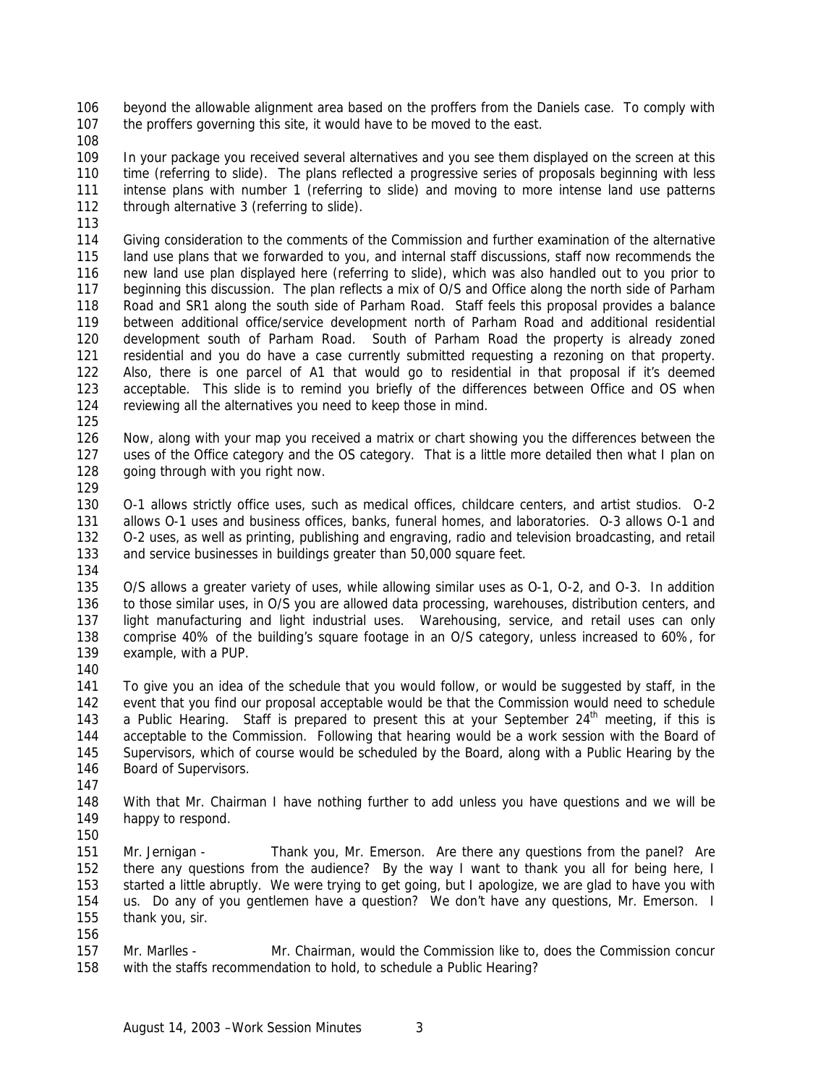beyond the allowable alignment area based on the proffers from the Daniels case. To comply with the proffers governing this site, it would have to be moved to the east.

 In your package you received several alternatives and you see them displayed on the screen at this time (referring to slide). The plans reflected a progressive series of proposals beginning with less intense plans with number 1 (referring to slide) and moving to more intense land use patterns 112 through alternative 3 (referring to slide).

 Giving consideration to the comments of the Commission and further examination of the alternative land use plans that we forwarded to you, and internal staff discussions, staff now recommends the new land use plan displayed here (referring to slide), which was also handled out to you prior to beginning this discussion. The plan reflects a mix of O/S and Office along the north side of Parham Road and SR1 along the south side of Parham Road. Staff feels this proposal provides a balance between additional office/service development north of Parham Road and additional residential development south of Parham Road. South of Parham Road the property is already zoned residential and you do have a case currently submitted requesting a rezoning on that property. Also, there is one parcel of A1 that would go to residential in that proposal if it's deemed acceptable. This slide is to remind you briefly of the differences between Office and OS when reviewing all the alternatives you need to keep those in mind. 

 Now, along with your map you received a matrix or chart showing you the differences between the uses of the Office category and the OS category. That is a little more detailed then what I plan on going through with you right now.

 O-1 allows strictly office uses, such as medical offices, childcare centers, and artist studios. O-2 allows O-1 uses and business offices, banks, funeral homes, and laboratories. O-3 allows O-1 and O-2 uses, as well as printing, publishing and engraving, radio and television broadcasting, and retail and service businesses in buildings greater than 50,000 square feet.

 O/S allows a greater variety of uses, while allowing similar uses as O-1, O-2, and O-3. In addition to those similar uses, in O/S you are allowed data processing, warehouses, distribution centers, and light manufacturing and light industrial uses. Warehousing, service, and retail uses can only comprise 40% of the building's square footage in an O/S category, unless increased to 60%, for example, with a PUP.

 To give you an idea of the schedule that you would follow, or would be suggested by staff, in the event that you find our proposal acceptable would be that the Commission would need to schedule 143 a Public Hearing. Staff is prepared to present this at your September  $24<sup>th</sup>$  meeting, if this is acceptable to the Commission. Following that hearing would be a work session with the Board of Supervisors, which of course would be scheduled by the Board, along with a Public Hearing by the Board of Supervisors.

 With that Mr. Chairman I have nothing further to add unless you have questions and we will be happy to respond.

151 Mr. Jernigan - Thank you, Mr. Emerson. Are there any questions from the panel? Are there any questions from the audience? By the way I want to thank you all for being here, I started a little abruptly. We were trying to get going, but I apologize, we are glad to have you with us. Do any of you gentlemen have a question? We don't have any questions, Mr. Emerson. I thank you, sir.

 Mr. Marlles - Mr. Chairman, would the Commission like to, does the Commission concur with the staffs recommendation to hold, to schedule a Public Hearing?